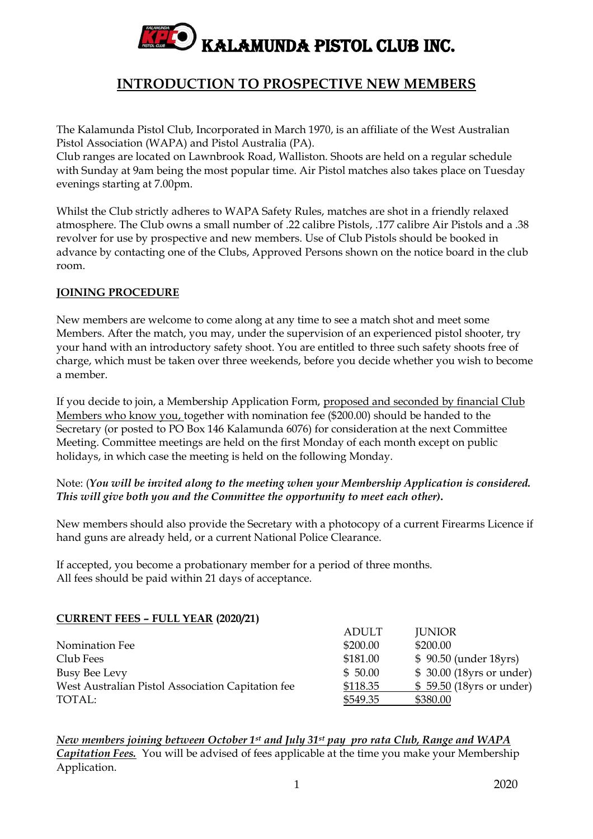

# **INTRODUCTION TO PROSPECTIVE NEW MEMBERS**

The Kalamunda Pistol Club, Incorporated in March 1970, is an affiliate of the West Australian Pistol Association (WAPA) and Pistol Australia (PA).

Club ranges are located on Lawnbrook Road, Walliston. Shoots are held on a regular schedule with Sunday at 9am being the most popular time. Air Pistol matches also takes place on Tuesday evenings starting at 7.00pm.

Whilst the Club strictly adheres to WAPA Safety Rules, matches are shot in a friendly relaxed atmosphere. The Club owns a small number of .22 calibre Pistols, .177 calibre Air Pistols and a .38 revolver for use by prospective and new members. Use of Club Pistols should be booked in advance by contacting one of the Clubs, Approved Persons shown on the notice board in the club room.

# **JOINING PROCEDURE**

New members are welcome to come along at any time to see a match shot and meet some Members. After the match, you may, under the supervision of an experienced pistol shooter, try your hand with an introductory safety shoot. You are entitled to three such safety shoots free of charge, which must be taken over three weekends, before you decide whether you wish to become a member.

If you decide to join, a Membership Application Form, proposed and seconded by financial Club Members who know you, together with nomination fee (\$200.00) should be handed to the Secretary (or posted to PO Box 146 Kalamunda 6076) for consideration at the next Committee Meeting. Committee meetings are held on the first Monday of each month except on public holidays, in which case the meeting is held on the following Monday.

### Note: (*You will be invited along to the meeting when your Membership Application is considered. This will give both you and the Committee the opportunity to meet each other)***.**

New members should also provide the Secretary with a photocopy of a current Firearms Licence if hand guns are already held, or a current National Police Clearance.

If accepted, you become a probationary member for a period of three months. All fees should be paid within 21 days of acceptance.

#### **CURRENT FEES – FULL YEAR (2020/21)**

|                                                   | <b>ADULT</b> | <b>JUNIOR</b>              |
|---------------------------------------------------|--------------|----------------------------|
| Nomination Fee                                    | \$200.00     | \$200.00                   |
| Club Fees                                         | \$181.00     | \$90.50 (under 18yrs)      |
| Busy Bee Levy                                     | \$50.00      | $$30.00$ (18yrs or under)  |
| West Australian Pistol Association Capitation fee | \$118.35     | $$59.50$ (18 yrs or under) |
| TOTAL:                                            | \$549.35     | \$380.00                   |

*New members joining between October 1 st and July 31st pay pro rata Club, Range and WAPA Capitation Fees.* You will be advised of fees applicable at the time you make your Membership Application.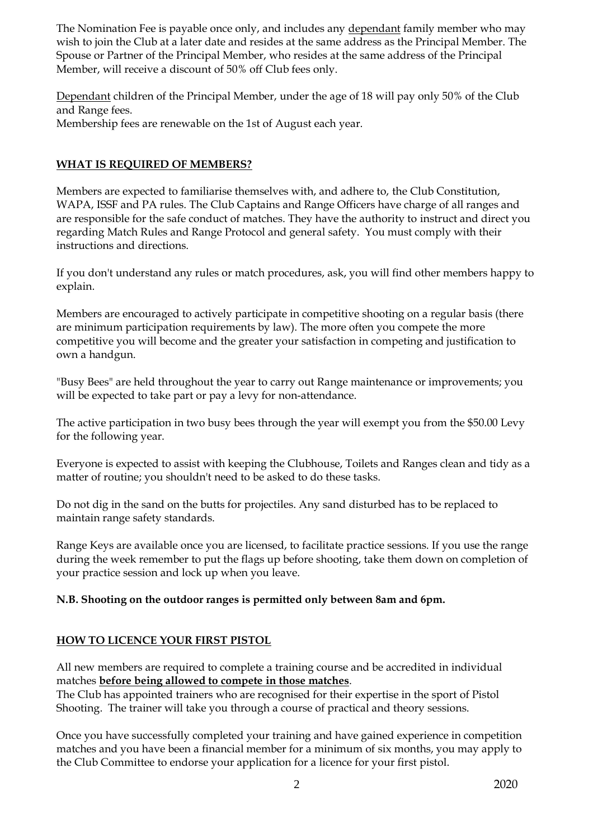The Nomination Fee is payable once only, and includes any dependant family member who may wish to join the Club at a later date and resides at the same address as the Principal Member. The Spouse or Partner of the Principal Member, who resides at the same address of the Principal Member, will receive a discount of 50% off Club fees only.

Dependant children of the Principal Member, under the age of 18 will pay only 50% of the Club and Range fees. Membership fees are renewable on the 1st of August each year.

## **WHAT IS REQUIRED OF MEMBERS?**

Members are expected to familiarise themselves with, and adhere to, the Club Constitution, WAPA, ISSF and PA rules. The Club Captains and Range Officers have charge of all ranges and are responsible for the safe conduct of matches. They have the authority to instruct and direct you regarding Match Rules and Range Protocol and general safety. You must comply with their instructions and directions.

If you don't understand any rules or match procedures, ask, you will find other members happy to explain.

Members are encouraged to actively participate in competitive shooting on a regular basis (there are minimum participation requirements by law). The more often you compete the more competitive you will become and the greater your satisfaction in competing and justification to own a handgun.

"Busy Bees" are held throughout the year to carry out Range maintenance or improvements; you will be expected to take part or pay a levy for non-attendance.

The active participation in two busy bees through the year will exempt you from the \$50.00 Levy for the following year.

Everyone is expected to assist with keeping the Clubhouse, Toilets and Ranges clean and tidy as a matter of routine; you shouldn't need to be asked to do these tasks.

Do not dig in the sand on the butts for projectiles. Any sand disturbed has to be replaced to maintain range safety standards.

Range Keys are available once you are licensed, to facilitate practice sessions. If you use the range during the week remember to put the flags up before shooting, take them down on completion of your practice session and lock up when you leave.

#### **N.B. Shooting on the outdoor ranges is permitted only between 8am and 6pm.**

# **HOW TO LICENCE YOUR FIRST PISTOL**

All new members are required to complete a training course and be accredited in individual matches **before being allowed to compete in those matches**.

The Club has appointed trainers who are recognised for their expertise in the sport of Pistol Shooting. The trainer will take you through a course of practical and theory sessions.

Once you have successfully completed your training and have gained experience in competition matches and you have been a financial member for a minimum of six months, you may apply to the Club Committee to endorse your application for a licence for your first pistol.